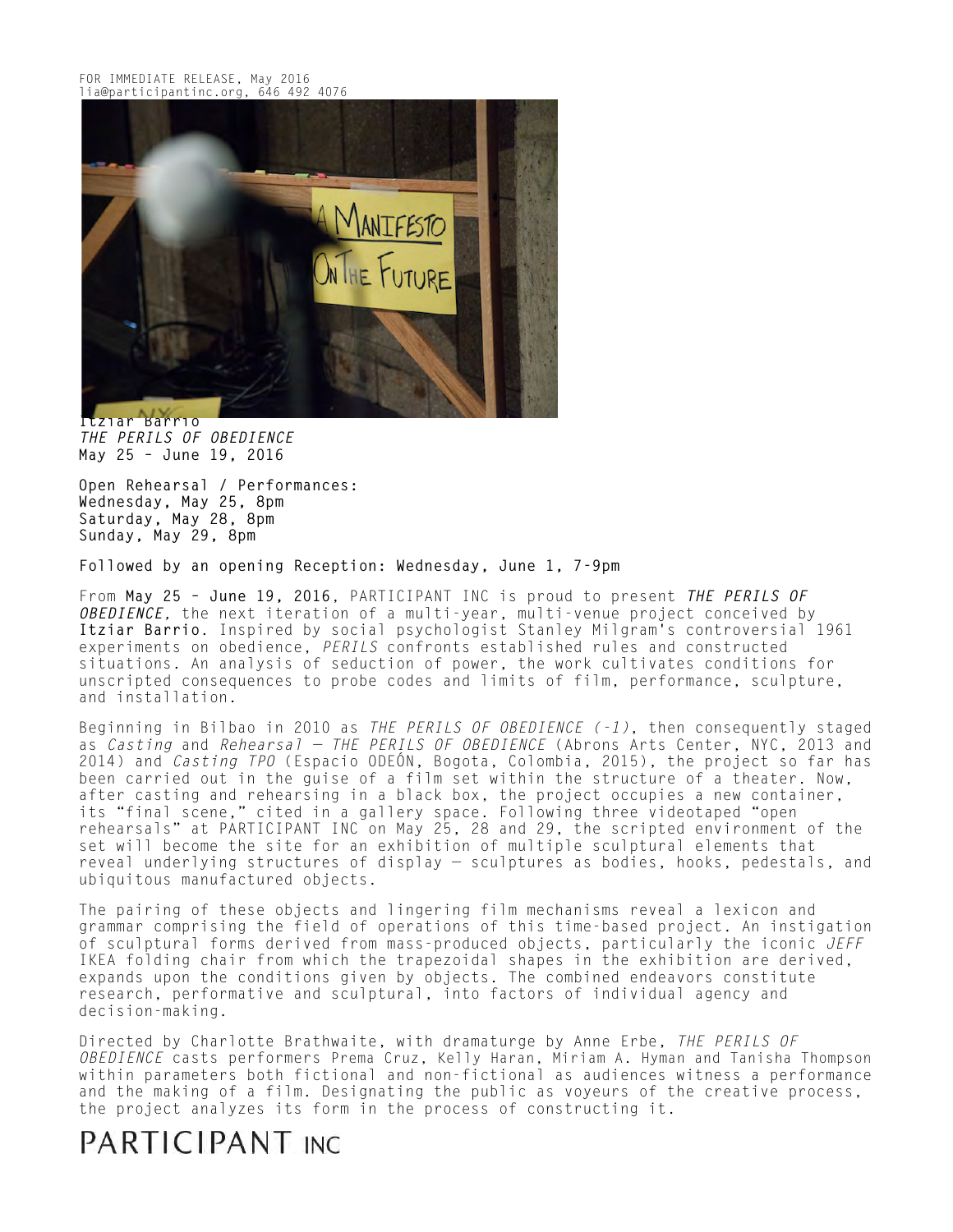

**Itziar Barrio** *THE PERILS OF OBEDIENCE*  **May 25 – June 19, 2016**

**Open Rehearsal / Performances: Wednesday, May 25, 8pm Saturday, May 28, 8pm Sunday, May 29, 8pm**

**Followed by an opening Reception: Wednesday, June 1, 7-9pm**

From **May 25 – June 19, 2016**, PARTICIPANT INC is proud to present *THE PERILS OF OBEDIENCE,* the next iteration of a multi-year, multi-venue project conceived by **Itziar Barrio**. Inspired by social psychologist Stanley Milgram's controversial 1961 experiments on obedience, *PERILS* confronts established rules and constructed situations. An analysis of seduction of power, the work cultivates conditions for unscripted consequences to probe codes and limits of film, performance, sculpture, and installation.

Beginning in Bilbao in 2010 as *THE PERILS OF OBEDIENCE (-1)*, then consequently staged as *Casting* and *Rehearsal — THE PERILS OF OBEDIENCE* (Abrons Arts Center, NYC, 2013 and 2014) and *Casting TPO* (Espacio ODEÓN, Bogota, Colombia, 2015), the project so far has been carried out in the guise of a film set within the structure of a theater. Now, after casting and rehearsing in a black box, the project occupies a new container, its "final scene," cited in a gallery space. Following three videotaped "open rehearsals" at PARTICIPANT INC on May 25, 28 and 29, the scripted environment of the set will become the site for an exhibition of multiple sculptural elements that reveal underlying structures of display — sculptures as bodies, hooks, pedestals, and ubiquitous manufactured objects.

The pairing of these objects and lingering film mechanisms reveal a lexicon and grammar comprising the field of operations of this time-based project. An instigation of sculptural forms derived from mass-produced objects, particularly the iconic *JEFF*  IKEA folding chair from which the trapezoidal shapes in the exhibition are derived, expands upon the conditions given by objects. The combined endeavors constitute research, performative and sculptural, into factors of individual agency and decision-making.

Directed by Charlotte Brathwaite, with dramaturge by Anne Erbe, *THE PERILS OF OBEDIENCE* casts performers Prema Cruz, Kelly Haran, Miriam A. Hyman and Tanisha Thompson within parameters both fictional and non-fictional as audiences witness a performance and the making of a film. Designating the public as voyeurs of the creative process, the project analyzes its form in the process of constructing it.

## PARTICIPANT INC